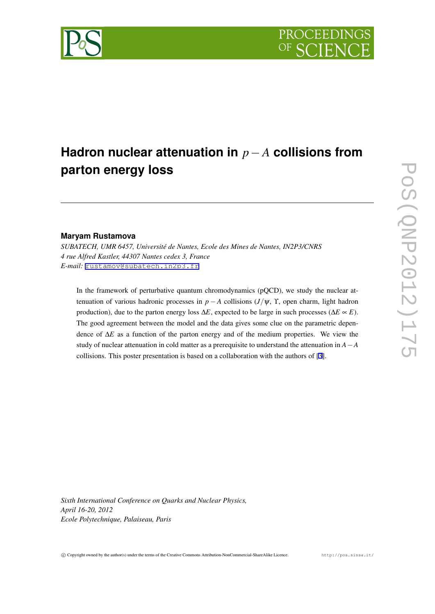

# **Hadron nuclear attenuation in** *p−A* **collisions from parton energy loss**

## **Maryam Rustamova**

*SUBATECH, UMR 6457, Université de Nantes, Ecole des Mines de Nantes, IN2P3/CNRS 4 rue Alfred Kastler, 44307 Nantes cedex 3, France E-mail:* [rustamov@subatech.in2p3.fr](mailto:rustamov@subatech.in2p3.fr)

In the framework of perturbative quantum chromodynamics (pQCD), we study the nuclear attenuation of various hadronic processes in *p* − *A* collisions  $(J/\psi, \Upsilon)$ , open charm, light hadron production), due to the parton energy loss ∆*E*, expected to be large in such processes (∆*E* ∝ *E*). The good agreement between the model and the data gives some clue on the parametric dependence of ∆*E* as a function of the parton energy and of the medium properties. We view the study of nuclear attenuation in cold matter as a prerequisite to understand the attenuation in *A−A* collisions. This poster presentation is based on a collaboration with the authors of [\[3](#page-5-0)].

*Sixth International Conference on Quarks and Nuclear Physics, April 16-20, 2012 Ecole Polytechnique, Palaiseau, Paris*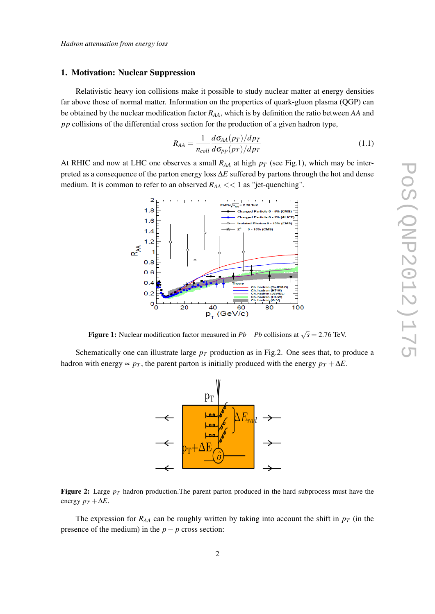#### 1. Motivation: Nuclear Suppression

Relativistic heavy ion collisions make it possible to study nuclear matter at energy densities far above those of normal matter. Information on the properties of quark-gluon plasma (QGP) can be obtained by the nuclear modification factor *RAA*, which is by definition the ratio between *AA* and *pp* collisions of the differential cross section for the production of a given hadron type,

$$
R_{AA} = \frac{1}{n_{coll}} \frac{d\sigma_{AA}(p_T)/dp_T}{d\sigma_{pp}(p_T)/dp_T}
$$
(1.1)

At RHIC and now at LHC one observes a small  $R_{AA}$  at high  $p_T$  (see Fig.1), which may be interpreted as a consequence of the parton energy loss ∆*E* suffered by partons through the hot and dense medium. It is common to refer to an observed  $R_{AA} \ll 1$  as "jet-quenching".



Figure 1: Nuclear modification factor measured in  $Pb - Pb$  collisions at  $\sqrt{s} = 2.76$  TeV.

Schematically one can illustrate large  $p<sub>T</sub>$  production as in Fig.2. One sees that, to produce a hadron with energy  $\propto p_T$ , the parent parton is initially produced with the energy  $p_T + \Delta E$ .



**Figure 2:** Large  $p_T$  hadron production. The parent parton produced in the hard subprocess must have the energy  $p_T + \Delta E$ .

The expression for  $R_{AA}$  can be roughly written by taking into account the shift in  $p_T$  (in the presence of the medium) in the  $p - p$  cross section: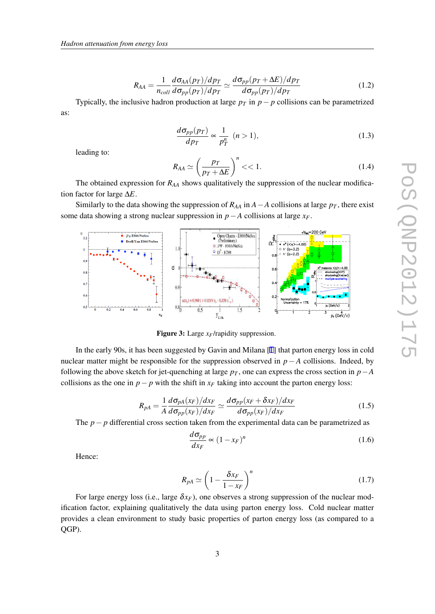$$
R_{AA} = \frac{1}{n_{coll}} \frac{d\sigma_{AA}(p_T)/dp_T}{d\sigma_{pp}(p_T)/dp_T} \simeq \frac{d\sigma_{pp}(p_T + \Delta E)/dp_T}{d\sigma_{pp}(p_T)/dp_T}
$$
(1.2)

Typically, the inclusive hadron production at large  $p_T$  in  $p - p$  collisions can be parametrized as:

$$
\frac{d\sigma_{pp}(p_T)}{dp_T} \propto \frac{1}{p_T^n} \quad (n > 1),\tag{1.3}
$$

leading to:

$$
R_{AA} \simeq \left(\frac{p_T}{p_T + \Delta E}\right)^n < 1. \tag{1.4}
$$

The obtained expression for *RAA* shows qualitatively the suppression of the nuclear modification factor for large ∆*E*.

Similarly to the data showing the suppression of  $R_{AA}$  in  $A - A$  collisions at large  $p<sub>T</sub>$ , there exist some data showing a strong nuclear suppression in  $p - A$  collisions at large  $x_F$ .



Figure 3: Large *xF*/rapidity suppression.

In the early 90s, it has been suggested by Gavin and Milana [\[1\]](#page-5-0) that parton energy loss in cold nuclear matter might be responsible for the suppression observed in  $p - A$  collisions. Indeed, by following the above sketch for jet-quenching at large  $p<sub>T</sub>$ , one can express the cross section in  $p<sub>T</sub>$ collisions as the one in  $p - p$  with the shift in  $x_F$  taking into account the parton energy loss:

$$
R_{pA} = \frac{1}{A} \frac{d\sigma_{pA}(x_F)/dx_F}{d\sigma_{pp}(x_F)/dx_F} \simeq \frac{d\sigma_{pp}(x_F + \delta x_F)/dx_F}{d\sigma_{pp}(x_F)/dx_F}
$$
(1.5)

The *p− p* differential cross section taken from the experimental data can be parametrized as

$$
\frac{d\sigma_{pp}}{dx_F} \propto (1 - x_F)^n \tag{1.6}
$$

Hence:

$$
R_{pA} \simeq \left(1 - \frac{\delta x_F}{1 - x_F}\right)^n \tag{1.7}
$$

For large energy loss (i.e., large  $\delta x_F$ ), one observes a strong suppression of the nuclear modification factor, explaining qualitatively the data using parton energy loss. Cold nuclear matter provides a clean environment to study basic properties of parton energy loss (as compared to a QGP).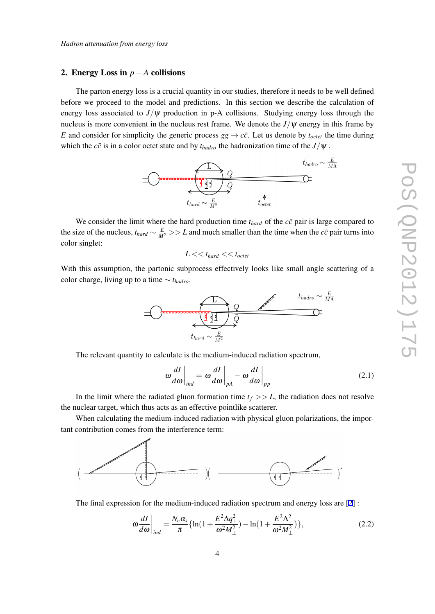#### 2. Energy Loss in *p−A* collisions

The parton energy loss is a crucial quantity in our studies, therefore it needs to be well defined before we proceed to the model and predictions. In this section we describe the calculation of energy loss associated to  $J/\psi$  production in p-A collisions. Studying energy loss through the nucleus is more convenient in the nucleus rest frame. We denote the  $J/\psi$  energy in this frame by *E* and consider for simplicity the generic process  $gg \to c\bar{c}$ . Let us denote by  $t_{octet}$  the time during which the  $c\bar{c}$  is in a color octet state and by  $t_{hadro}$  the hadronization time of the  $J/\psi$ .



We consider the limit where the hard production time  $t_{hard}$  of the  $c\bar{c}$  pair is large compared to the size of the nucleus,  $t_{hard} \sim \frac{E}{M^2} >> L$  and much smaller than the time when the *c* $\bar{c}$  pair turns into color singlet:

$$
L << t_{hard} << t_{octet}
$$

With this assumption, the partonic subprocess effectively looks like small angle scattering of a color charge, living up to a time *∼ thadro*.



The relevant quantity to calculate is the medium-induced radiation spectrum,

$$
\omega \frac{dI}{d\omega}\bigg|_{ind} = \omega \frac{dI}{d\omega}\bigg|_{pA} - \omega \frac{dI}{d\omega}\bigg|_{pp}
$$
\n(2.1)

In the limit where the radiated gluon formation time  $t_f$  >>  $L$ , the radiation does not resolve the nuclear target, which thus acts as an effective pointlike scatterer.

When calculating the medium-induced radiation with physical gluon polarizations, the important contribution comes from the interference term:



The final expression for the medium-induced radiation spectrum and energy loss are [\[2\]](#page-5-0) :

$$
\omega \frac{dI}{d\omega}\bigg|_{ind} = \frac{N_c \alpha_s}{\pi} \{ \ln(1 + \frac{E^2 \Delta q_\perp^2}{\omega^2 M_\perp^2}) - \ln(1 + \frac{E^2 \Lambda^2}{\omega^2 M_\perp^2}) \},\tag{2.2}
$$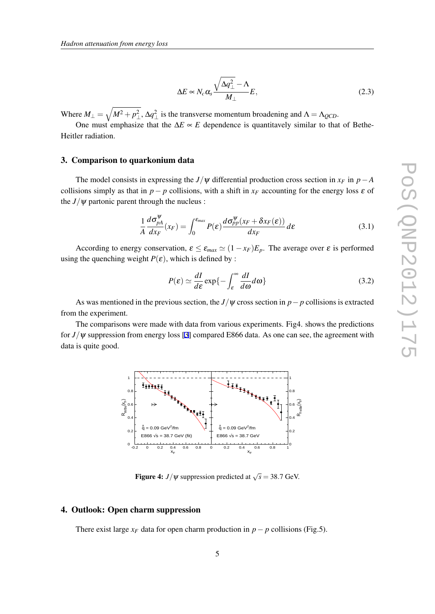$$
\Delta E \propto N_c \alpha_s \frac{\sqrt{\Delta q_\perp^2} - \Lambda}{M_\perp} E,\tag{2.3}
$$

Where  $M_{\perp} = \sqrt{M^2 + p_{\perp}^2}$ ,  $\Delta q_{\perp}^2$  is the transverse momentum broadening and  $\Lambda = \Lambda_{QCD}$ .

One must emphasize that the  $\Delta E \propto E$  dependence is quantitavely similar to that of Bethe-Heitler radiation.

### 3. Comparison to quarkonium data

The model consists in expressing the *J*/ $\psi$  differential production cross section in  $x_F$  in  $p - A$ collisions simply as that in *p* − *p* collisions, with a shift in  $x_F$  accounting for the energy loss  $\varepsilon$  of the  $J/\psi$  partonic parent through the nucleus :

$$
\frac{1}{A}\frac{d\sigma_{pA}^{\psi}}{dx_F}(x_F) = \int_0^{\varepsilon_{max}} P(\varepsilon) \frac{d\sigma_{pp}^{\psi}(x_F + \delta x_F(\varepsilon))}{dx_F} d\varepsilon \tag{3.1}
$$

According to energy conservation,  $\varepsilon \leq \varepsilon_{max} \simeq (1 - x_F)E_p$ . The average over  $\varepsilon$  is performed using the quenching weight  $P(\varepsilon)$ , which is defined by :

$$
P(\varepsilon) \simeq \frac{dI}{d\varepsilon} \exp\{-\int_{\varepsilon}^{\infty} \frac{dI}{d\omega} d\omega\}
$$
 (3.2)

As was mentioned in the previous section, the *J*/ $\psi$  cross section in *p* − *p* collisions is extracted from the experiment.

The comparisons were made with data from various experiments. Fig4. shows the predictions for *J/*ψ suppression from energy loss [[3](#page-5-0)] compared E866 data. As one can see, the agreement with data is quite good.



**Figure 4:** *J*/ $\psi$  suppression predicted at  $\sqrt{s} = 38.7$  GeV.

#### 4. Outlook: Open charm suppression

There exist large  $x_F$  data for open charm production in  $p - p$  collisions (Fig.5).